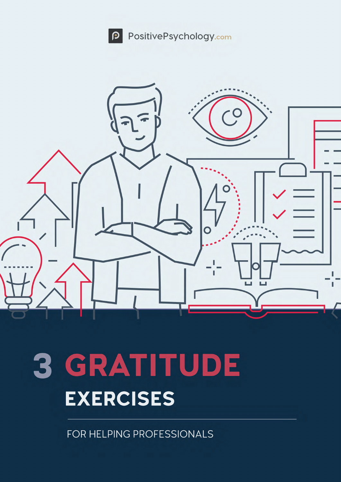



# 3 GRATITUDE **EXERCISES**

FOR HELPING PROFESSIONALS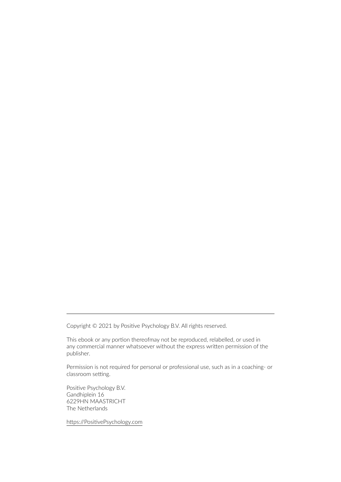Copyright © 2021 by Positive Psychology B.V. All rights reserved.

This ebook or any portion thereofmay not be reproduced, relabelled, or used in any commercial manner whatsoever without the express written permission of the publisher.

Permission is not required for personal or professional use, such as in a coaching- or classroom setting.

Positive Psychology B.V. Gandhiplein 16 6229HN MAASTRICHT The Netherlands

https://PositivePsychology.com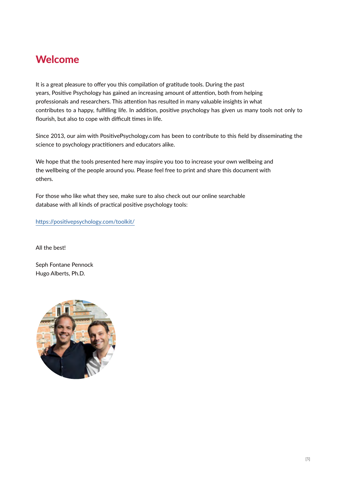## Welcome

It is a great pleasure to offer you this compilation of gratitude tools. During the past years, Positive Psychology has gained an increasing amount of attention, both from helping professionals and researchers. This attention has resulted in many valuable insights in what contributes to a happy, fulfilling life. In addition, positive psychology has given us many tools not only to flourish, but also to cope with difficult times in life.

Since 2013, our aim with PositivePsychology.com has been to contribute to this field by disseminating the science to psychology practitioners and educators alike.

We hope that the tools presented here may inspire you too to increase your own wellbeing and the wellbeing of the people around you. Please feel free to print and share this document with others.

For those who like what they see, make sure to also check out our online searchable database with all kinds of practical positive psychology tools:

[https://positivepsychology.com/toolkit/](https://pro.positivepsychology.com/product/positive-psychology-toolkit-yearly-new/)

All the best!

Seph Fontane Pennock Hugo Alberts, Ph.D.

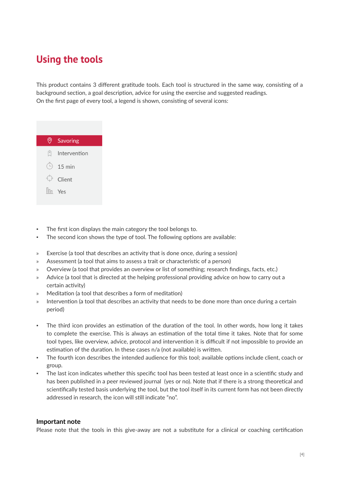## **Using the tools**

This product contains 3 different gratitude tools. Each tool is structured in the same way, consisting of a background section, a goal description, advice for using the exercise and suggested readings. On the first page of every tool, a legend is shown, consisting of several icons:



- The first icon displays the main category the tool belongs to.
- The second icon shows the type of tool. The following options are available:
- » Exercise (a tool that describes an activity that is done once, during a session)
- » Assessment (a tool that aims to assess a trait or characteristic of a person)
- » Overview (a tool that provides an overview or list of something; research findings, facts, etc.)
- » Advice (a tool that is directed at the helping professional providing advice on how to carry out a certain activity)
- » Meditation (a tool that describes a form of meditation)
- » Intervention (a tool that describes an activity that needs to be done more than once during a certain period)
- The third icon provides an estimation of the duration of the tool. In other words, how long it takes to complete the exercise. This is always an estimation of the total time it takes. Note that for some tool types, like overview, advice, protocol and intervention it is difficult if not impossible to provide an estimation of the duration. In these cases n/a (not available) is written.
- The fourth icon describes the intended audience for this tool; available options include client, coach or group.
- The last icon indicates whether this specific tool has been tested at least once in a scientific study and has been published in a peer reviewed journal (yes or no). Note that if there is a strong theoretical and scientifically tested basis underlying the tool, but the tool itself in its current form has not been directly addressed in research, the icon will still indicate "no".

#### **Important note**

Please note that the tools in this give-away are not a substitute for a clinical or coaching certification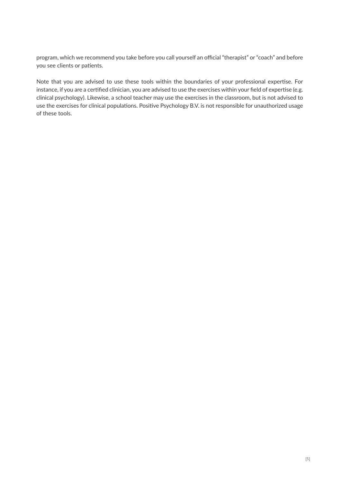program, which we recommend you take before you call yourself an official "therapist" or "coach" and before you see clients or patients.

Note that you are advised to use these tools within the boundaries of your professional expertise. For instance, if you are a certified clinician, you are advised to use the exercises within your field of expertise (e.g. clinical psychology). Likewise, a school teacher may use the exercises in the classroom, but is not advised to use the exercises for clinical populations. Positive Psychology B.V. is not responsible for unauthorized usage of these tools.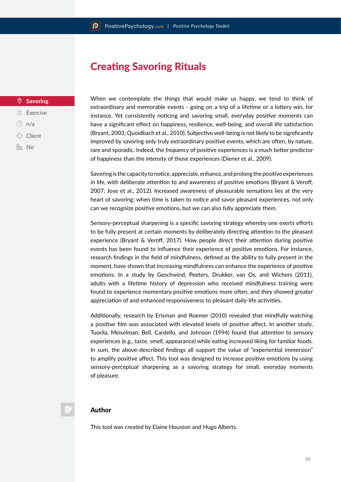## Creating Savoring Rituals

#### **Savoring**

- **Q** Exercise
- $\overline{)}$  n/a
- $\bigcirc$  Client
- $\ln$  No

When we contemplate the things that would make us happy, we tend to think of extraordinary and memorable events - going on a trip of a lifetime or a lottery win, for instance. Yet consistently noticing and savoring small, everyday positive moments can have a significant effect on happiness, resilience, well-being, and overall life satisfaction (Bryant, 2003; Quoidbach et al., 2010). Subjective well-being is not likely to be significantly improved by savoring only truly extraordinary positive events, which are often, by nature, rare and sporadic. Indeed, the *frequency* of positive experiences is a much better predictor of happiness than the *intensity* of those experiences (Diener et al., 2009).

Savoring is the capacity to notice, appreciate, enhance, and prolong the positive experiences in life, with deliberate attention to and awareness of positive emotions (Bryant & Veroff, 2007; Jose et al., 2012). Increased awareness of pleasurable sensations lies at the very heart of savoring; when time is taken to notice and savor pleasant experiences, not only can we recognize positive emotions, but we can also fully appreciate them.

Sensory-perceptual sharpening is a specific savoring strategy whereby one exerts efforts to be fully present at certain moments by deliberately directing attention to the pleasant experience (Bryant & Veroff, 2017). How people direct their attention during positive events has been found to influence their experience of positive emotions. For instance, research findings in the field of mindfulness, defined as the ability to fully present in the moment, have shown that increasing mindfulness can enhance the experience of positive emotions. In a study by Geschwind, Peeters, Drukker, van Os, and Wichers (2011), adults with a lifetime history of depression who received mindfulness training were found to experience momentary positive emotions more often, and they showed greater appreciation of and enhanced responsiveness to pleasant daily-life activities.

Additionally, research by Erisman and Roemer (2010) revealed that mindfully watching a positive film was associated with elevated levels of positive affect. In another study, Tuorila, Meiselman, Bell, Cardello, and Johnson (1994) found that attention to sensory experiences (e.g., taste, smell, appearance) while eating increased liking for familiar foods. In sum, the above-described findings all support the value of "experiential immersion" to amplify positive affect. This tool was designed to increase positive emotions by using sensory-perceptual sharpening as a savoring strategy for small, everyday moments of pleasure.

#### Author

This tool was created by Elaine Houston and Hugo Alberts.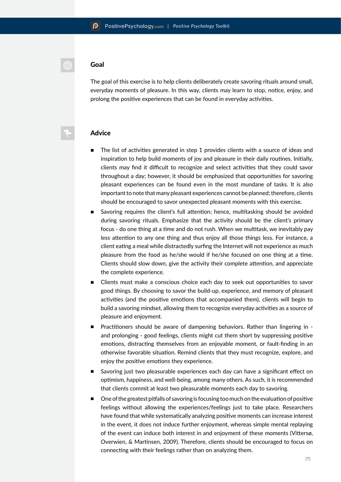#### Goal

 $\odot$ 

The goal of this exercise is to help clients deliberately create savoring rituals around small, everyday moments of pleasure. In this way, clients may learn to stop, notice, enjoy, and prolong the positive experiences that can be found in everyday activities.

#### Advice

- The list of activities generated in step 1 provides clients with a source of ideas and inspiration to help build moments of joy and pleasure in their daily routines. Initially, clients may find it difficult to recognize and select activities that they could savor throughout a day; however, it should be emphasized that opportunities for savoring pleasant experiences can be found even in the most mundane of tasks. It is also important to note that many pleasant experiences cannot be planned; therefore, clients should be encouraged to savor unexpected pleasant moments with this exercise.
- Savoring requires the client's full attention; hence, multitasking should be avoided during savoring rituals. Emphasize that the activity should be the client's primary focus - do one thing at a time and do not rush. When we multitask, we inevitably pay less attention to any one thing and thus enjoy all those things less. For instance, a client eating a meal while distractedly surfing the Internet will not experience as much pleasure from the food as he/she would if he/she focused on one thing at a time. Clients should slow down, give the activity their complete attention, and appreciate the complete experience.
- Clients must make a conscious choice each day to seek out opportunities to savor good things. By choosing to savor the build-up, experience, and memory of pleasant activities (and the positive emotions that accompanied them), clients will begin to build a savoring mindset, allowing them to recognize everyday activities as a source of pleasure and enjoyment.
- Practitioners should be aware of dampening behaviors. Rather than lingering in and prolonging - good feelings, clients might cut them short by suppressing positive emotions, distracting themselves from an enjoyable moment, or fault-finding in an otherwise favorable situation. Remind clients that they must recognize, explore, and enjoy the positive emotions they experience.
- Savoring just two pleasurable experiences each day can have a significant effect on optimism, happiness, and well-being, among many others. As such, it is recommended that clients commit at least two pleasurable moments each day to savoring.
- One of the greatest pitfalls of savoring is focusing too much on the evaluation of positive feelings without allowing the experiences/feelings just to take place. Researchers have found that while systematically analyzing positive moments can increase interest in the event, it does not induce further enjoyment, whereas simple mental replaying of the event can induce both interest in and enjoyment of these moments (Vittersø, Overwien, & Martinsen, 2009). Therefore, clients should be encouraged to focus on connecting with their feelings rather than on analyzing them.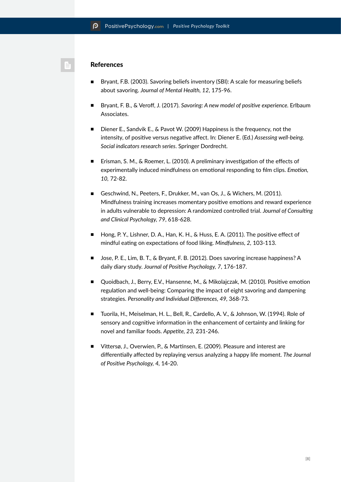#### **References**

- Bryant, F.B. (2003). Savoring beliefs inventory (SBI): A scale for measuring beliefs about savoring. *Journal of Mental Health, 12*, 175-96.
- Bryant, F. B., & Veroff, J. (2017). *Savoring: A new model of positive experience*. Erlbaum Associates.
- Diener E., Sandvik E., & Pavot W. (2009) Happiness is the frequency, not the intensity, of positive versus negative affect. In: Diener E. (Ed.) *Assessing well-being. Social indicators research series*. Springer Dordrecht.
- Erisman, S. M., & Roemer, L. (2010). A preliminary investigation of the effects of experimentally induced mindfulness on emotional responding to film clips. *Emotion, 10,* 72-82.
- Geschwind, N., Peeters, F., Drukker, M., van Os, J., & Wichers, M. (2011). Mindfulness training increases momentary positive emotions and reward experience in adults vulnerable to depression: A randomized controlled trial. *Journal of Consulting and Clinical Psychology, 79*, 618-628.
- Hong, P. Y., Lishner, D. A., Han, K. H., & Huss, E. A. (2011). The positive effect of mindful eating on expectations of food liking. *Mindfulness, 2,* 103-113.
- Jose, P. E., Lim, B. T., & Bryant, F. B. (2012). Does savoring increase happiness? A daily diary study. *Journal of Positive Psychology, 7*, 176-187.
- Quoidbach, J., Berry, E.V., Hansenne, M., & Mikolajczak, M. (2010). Positive emotion regulation and well-being: Comparing the impact of eight savoring and dampening strategies. *Personality and Individual Differences, 49,* 368-73.
- Tuorila, H., Meiselman, H. L., Bell, R., Cardello, A. V., & Johnson, W. (1994). Role of sensory and cognitive information in the enhancement of certainty and linking for novel and familiar foods. *Appetite, 23,* 231-246.
- Vittersø, J., Overwien, P., & Martinsen, E. (2009). Pleasure and interest are differentially affected by replaying versus analyzing a happy life moment. *The Journal of Positive Psychology, 4,* 14-20.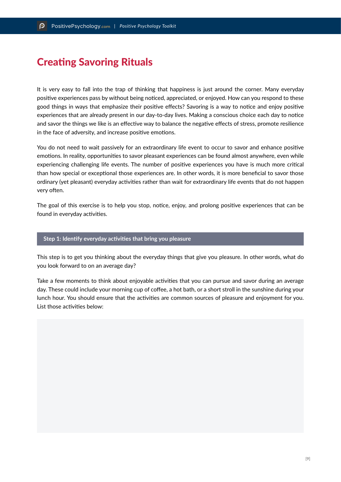## Creating Savoring Rituals

It is very easy to fall into the trap of thinking that happiness is just around the corner. Many everyday positive experiences pass by without being noticed, appreciated, or enjoyed. How can you respond to these good things in ways that emphasize their positive effects? Savoring is a way to notice and enjoy positive experiences that are already present in our day-to-day lives. Making a conscious choice each day to notice and savor the things we like is an effective way to balance the negative effects of stress, promote resilience in the face of adversity, and increase positive emotions.

You do not need to wait passively for an extraordinary life event to occur to savor and enhance positive emotions. In reality, opportunities to savor pleasant experiences can be found almost anywhere, even while experiencing challenging life events. The number of positive experiences you have is much more critical than how special or exceptional those experiences are. In other words, it is more beneficial to savor those ordinary (yet pleasant) everyday activities rather than wait for extraordinary life events that do not happen very often.

The goal of this exercise is to help you stop, notice, enjoy, and prolong positive experiences that can be found in everyday activities.

#### **Step 1: Identify everyday activities that bring you pleasure**

This step is to get you thinking about the everyday things that give you pleasure. In other words, what do you look forward to on an average day?

Take a few moments to think about enjoyable activities that you can pursue and savor during an average day. These could include your morning cup of coffee, a hot bath, or a short stroll in the sunshine during your lunch hour. You should ensure that the activities are common sources of pleasure and enjoyment for you. List those activities below: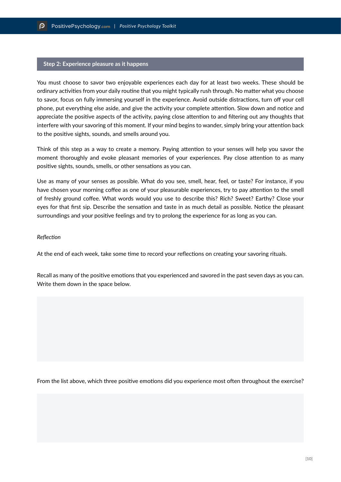#### **Step 2: Experience pleasure as it happens**

You must choose to savor two enjoyable experiences each day for at least two weeks. These should be ordinary activities from your daily routine that you might typically rush through. No matter what you choose to savor, focus on fully immersing yourself in the experience. Avoid outside distractions, turn off your cell phone, put everything else aside, and give the activity your complete attention. Slow down and notice and appreciate the positive aspects of the activity, paying close attention to and filtering out any thoughts that interfere with your savoring of this moment. If your mind begins to wander, simply bring your attention back to the positive sights, sounds, and smells around you.

Think of this step as a way to create a memory. Paying attention to your senses will help you savor the moment thoroughly and evoke pleasant memories of your experiences. Pay close attention to as many positive sights, sounds, smells, or other sensations as you can.

Use as many of your senses as possible. What do you see, smell, hear, feel, or taste? For instance, if you have chosen your morning coffee as one of your pleasurable experiences, try to pay attention to the smell of freshly ground coffee. What words would you use to describe this? Rich? Sweet? Earthy? Close your eyes for that first sip. Describe the sensation and taste in as much detail as possible. Notice the pleasant surroundings and your positive feelings and try to prolong the experience for as long as you can.

#### *Reflection*

At the end of each week, take some time to record your reflections on creating your savoring rituals.

Recall as many of the positive emotions that you experienced and savored in the past seven days as you can. Write them down in the space below.

From the list above, which three positive emotions did you experience most often throughout the exercise?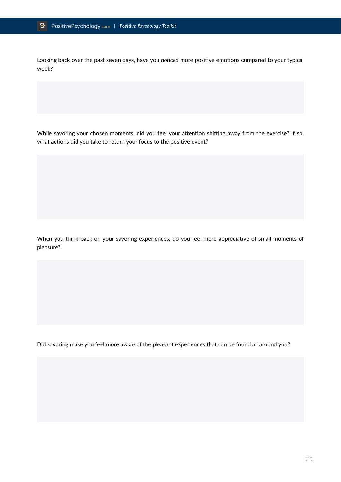Looking back over the past seven days, have you *noticed* more positive emotions compared to your typical week?

While savoring your chosen moments, did you feel your attention shifting away from the exercise? If so, what actions did you take to return your focus to the positive event?

When you think back on your savoring experiences, do you feel more appreciative of small moments of pleasure?

Did savoring make you feel more *aware* of the pleasant experiences that can be found all around you?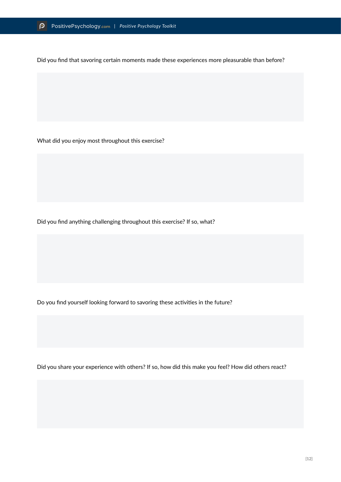Did you find that savoring certain moments made these experiences more pleasurable than before?

What did you enjoy most throughout this exercise?

Did you find anything challenging throughout this exercise? If so, what?

Do you find yourself looking forward to savoring these activities in the future?

Did you share your experience with others? If so, how did this make you feel? How did others react?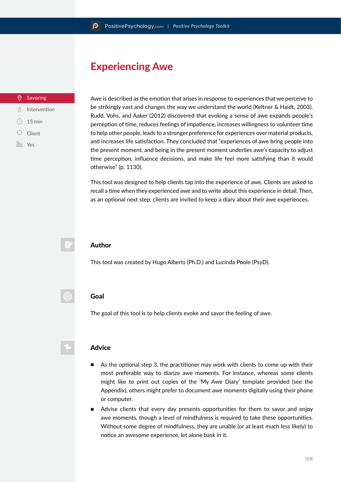## Experiencing Awe

#### Savoring

- $\hat{a}$  Intervention
- $\bigcirc$ 15 min
- Client
- In Yes

Awe is described as the emotion that arises in response to experiences that we perceive to be strikingly vast and changes the way we understand the world (Keltner & Haidt, 2003). Rudd, Vohs, and Aaker (2012) discovered that evoking a sense of awe expands people's perception of time, reduces feelings of impatience, increases willingness to volunteer time to help other people, leads to a stronger preference for experiences over material products, and increases life satisfaction. They concluded that "experiences of awe bring people into the present moment, and being in the present moment underlies awe's capacity to adjust time perception, influence decisions, and make life feel more satisfying than it would otherwise" (p. 1130).

This tool was designed to help clients tap into the experience of awe. Clients are asked to recall a time when they experienced awe and to write about this experience in detail. Then, as an optional next step, clients are invited to keep a diary about their awe experiences.



 $\circledcirc$ 

#### Author

This tool was created by Hugo Alberts (Ph.D.) and Lucinda Poole (PsyD).

#### Goal

The goal of this tool is to help clients evoke and savor the feeling of awe.

#### Advice

- As the optional step 3, the practitioner may work with clients to come up with their most preferable way to diarize awe moments. For instance, whereas some clients might like to print out copies of the 'My Awe Diary' template provided (see the Appendix), others might prefer to document awe moments digitally using their phone or computer.
- Advise clients that every day presents opportunities for them to savor and enjoy awe moments, though a level of mindfulness is required to take these opportunities. Without some degree of mindfulness, they are unable (or at least much less likely) to notice an awesome experience, let alone bask in it.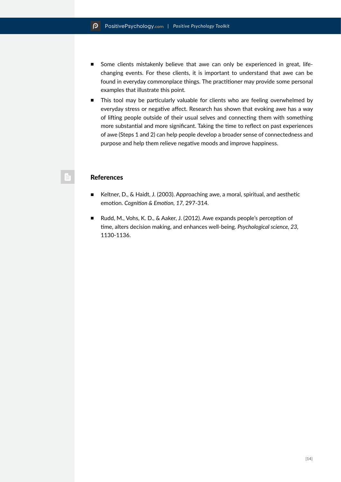- Some clients mistakenly believe that awe can only be experienced in great, lifechanging events. For these clients, it is important to understand that awe can be found in everyday commonplace things. The practitioner may provide some personal examples that illustrate this point.
- This tool may be particularly valuable for clients who are feeling overwhelmed by everyday stress or negative affect. Research has shown that evoking awe has a way of lifting people outside of their usual selves and connecting them with something more substantial and more significant. Taking the time to reflect on past experiences of awe (Steps 1 and 2) can help people develop a broader sense of connectedness and purpose and help them relieve negative moods and improve happiness.

#### **References**

- Keltner, D., & Haidt, J. (2003). Approaching awe, a moral, spiritual, and aesthetic emotion. *Cognition & Emotion, 17,* 297-314.
- Rudd, M., Vohs, K. D., & Aaker, J. (2012). Awe expands people's perception of time, alters decision making, and enhances well-being. *Psychological science, 23,*  1130-1136.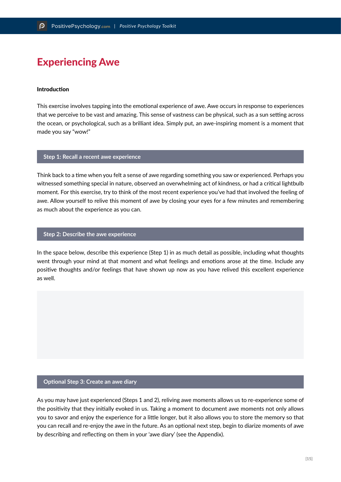## Experiencing Awe

#### Introduction

This exercise involves tapping into the emotional experience of awe. Awe occurs in response to experiences that we perceive to be vast and amazing. This sense of vastness can be physical, such as a sun setting across the ocean, or psychological, such as a brilliant idea. Simply put, an awe-inspiring moment is a moment that made you say "wow!"

#### **Step 1: Recall a recent awe experience**

Think back to a time when you felt a sense of awe regarding something you saw or experienced. Perhaps you witnessed something special in nature, observed an overwhelming act of kindness, or had a critical lightbulb moment. For this exercise, try to think of the most recent experience you've had that involved the feeling of awe. Allow yourself to relive this moment of awe by closing your eyes for a few minutes and remembering as much about the experience as you can.

#### **Step 2: Describe the awe experience**

In the space below, describe this experience (Step 1) in as much detail as possible, including what thoughts went through your mind at that moment and what feelings and emotions arose at the time. Include any positive thoughts and/or feelings that have shown up now as you have relived this excellent experience as well.

#### **Optional Step 3: Create an awe diary**

As you may have just experienced (Steps 1 and 2), reliving awe moments allows us to re-experience some of the positivity that they initially evoked in us. Taking a moment to document awe moments not only allows you to savor and enjoy the experience for a little longer, but it also allows you to store the memory so that you can recall and re-enjoy the awe in the future. As an optional next step, begin to diarize moments of awe by describing and reflecting on them in your 'awe diary' (see the Appendix).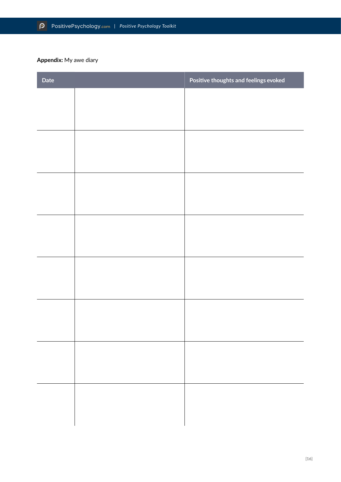### **Appendix:** My awe diary

| Date | Positive thoughts and feelings evoked |
|------|---------------------------------------|
|      |                                       |
|      |                                       |
|      |                                       |
|      |                                       |
|      |                                       |
|      |                                       |
|      |                                       |
|      |                                       |
|      |                                       |
|      |                                       |
|      |                                       |
|      |                                       |
|      |                                       |
|      |                                       |
|      |                                       |
|      |                                       |
|      |                                       |
|      |                                       |
|      |                                       |
|      |                                       |
|      |                                       |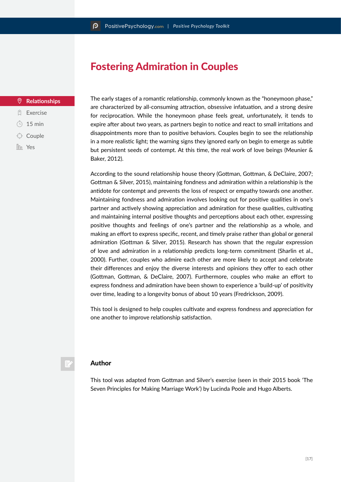## Fostering Admiration in Couples

#### $\Theta$ **Relationships**

- **Q** Exercise
- $\odot$  15 min
- $\bigcirc$  Couple
- **In** Yes

The early stages of a romantic relationship, commonly known as the "honeymoon phase," are characterized by all-consuming attraction, obsessive infatuation, and a strong desire for reciprocation. While the honeymoon phase feels great, unfortunately, it tends to expire after about two years, as partners begin to notice and react to small irritations and disappointments more than to positive behaviors. Couples begin to see the relationship in a more realistic light; the warning signs they ignored early on begin to emerge as subtle but persistent seeds of contempt. At this time, the real work of love beings (Meunier & Baker, 2012).

According to the sound relationship house theory (Gottman, Gottman, & DeClaire, 2007; Gottman & Silver, 2015), maintaining fondness and admiration within a relationship is the antidote for contempt and prevents the loss of respect or empathy towards one another. Maintaining fondness and admiration involves looking out for positive qualities in one's partner and actively showing appreciation and admiration for these qualities, cultivating and maintaining internal positive thoughts and perceptions about each other, expressing positive thoughts and feelings of one's partner and the relationship as a whole, and making an effort to express specific, recent, and timely praise rather than global or general admiration (Gottman & Silver, 2015). Research has shown that the regular expression of love and admiration in a relationship predicts long-term commitment (Sharlin et al., 2000). Further, couples who admire each other are more likely to accept and celebrate their differences and enjoy the diverse interests and opinions they offer to each other (Gottman, Gottman, & DeClaire, 2007). Furthermore, couples who make an effort to express fondness and admiration have been shown to experience a 'build-up' of positivity over time, leading to a longevity bonus of about 10 years (Fredrickson, 2009).

This tool is designed to help couples cultivate and express fondness and appreciation for one another to improve relationship satisfaction.

#### Author

This tool was adapted from Gottman and Silver's exercise (seen in their 2015 book 'The Seven Principles for Making Marriage Work') by Lucinda Poole and Hugo Alberts.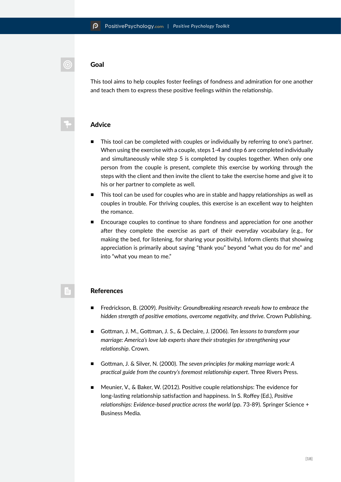#### Goal

This tool aims to help couples foster feelings of fondness and admiration for one another and teach them to express these positive feelings within the relationship.

#### Advice

- This tool can be completed with couples or individually by referring to one's partner. When using the exercise with a couple, steps 1-4 and step 6 are completed individually and simultaneously while step 5 is completed by couples together. When only one person from the couple is present, complete this exercise by working through the steps with the client and then invite the client to take the exercise home and give it to his or her partner to complete as well.
- This tool can be used for couples who are in stable and happy relationships as well as couples in trouble. For thriving couples, this exercise is an excellent way to heighten the romance.
- Encourage couples to continue to share fondness and appreciation for one another after they complete the exercise as part of their everyday vocabulary (e.g., for making the bed, for listening, for sharing your positivity). Inform clients that showing appreciation is primarily about saying "thank you" beyond "what you do for me" and into "what you mean to me."

#### References

- Fredrickson, B. (2009). *Positivity: Groundbreaking research reveals how to embrace the hidden strength of positive emotions, overcome negativity, and thrive.* Crown Publishing.
- Gottman, J. M., Gottman, J. S., & Declaire, J. (2006). *Ten lessons to transform your marriage: America's love lab experts share their strategies for strengthening your relationship*. Crown.
- Gottman, J. & Silver, N. (2000). *The seven principles for making marriage work: A practical guide from the country's foremost relationship expert*. Three Rivers Press.
- Meunier, V., & Baker, W. (2012). Positive couple relationships: The evidence for long-lasting relationship satisfaction and happiness. In S. Roffey (Ed.), *Positive relationships: Evidence-based practice across the world* (pp. 73-89). Springer Science + Business Media.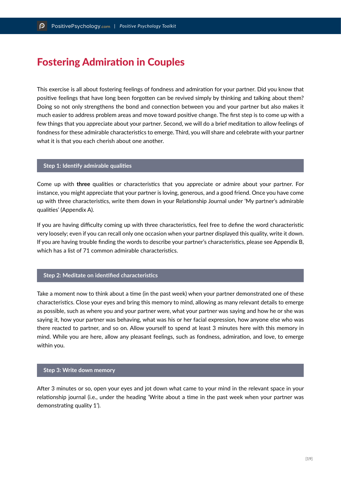## Fostering Admiration in Couples

This exercise is all about fostering feelings of fondness and admiration for your partner. Did you know that positive feelings that have long been forgotten can be revived simply by thinking and talking about them? Doing so not only strengthens the bond and connection between you and your partner but also makes it much easier to address problem areas and move toward positive change. The first step is to come up with a few things that you appreciate about your partner. Second, we will do a brief meditation to allow feelings of fondness for these admirable characteristics to emerge. Third, you will share and celebrate with your partner what it is that you each cherish about one another.

#### **Step 1: Identify admirable qualities**

Come up with **three** qualities or characteristics that you appreciate or admire about your partner. For instance, you might appreciate that your partner is loving, generous, and a good friend. Once you have come up with three characteristics, write them down in your Relationship Journal under 'My partner's admirable qualities' (Appendix A).

If you are having difficulty coming up with three characteristics, feel free to define the word characteristic very loosely; even if you can recall only one occasion when your partner displayed this quality, write it down. If you are having trouble finding the words to describe your partner's characteristics, please see Appendix B, which has a list of 71 common admirable characteristics.

#### **Step 2: Meditate on identified characteristics**

Take a moment now to think about a time (in the past week) when your partner demonstrated one of these characteristics. Close your eyes and bring this memory to mind, allowing as many relevant details to emerge as possible, such as where you and your partner were, what your partner was saying and how he or she was saying it, how your partner was behaving, what was his or her facial expression, how anyone else who was there reacted to partner, and so on. Allow yourself to spend at least 3 minutes here with this memory in mind. While you are here, allow any pleasant feelings, such as fondness, admiration, and love, to emerge within you.

#### **Step 3: Write down memory**

After 3 minutes or so, open your eyes and jot down what came to your mind in the relevant space in your relationship journal (i.e., under the heading 'Write about a time in the past week when your partner was demonstrating quality 1').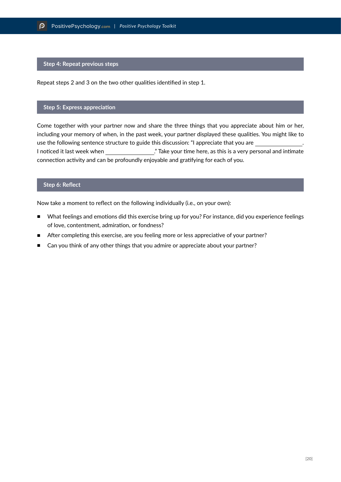#### **Step 4: Repeat previous steps**

Repeat steps 2 and 3 on the two other qualities identified in step 1.

#### **Step 5: Express appreciation**

Come together with your partner now and share the three things that you appreciate about him or her, including your memory of when, in the past week, your partner displayed these qualities. You might like to use the following sentence structure to guide this discussion: "I appreciate that you are . I noticed it last week when ... " Take your time here, as this is a very personal and intimate connection activity and can be profoundly enjoyable and gratifying for each of you.

#### **Step 6: Reflect**

Now take a moment to reflect on the following individually (i.e., on your own):

- What feelings and emotions did this exercise bring up for you? For instance, did you experience feelings of love, contentment, admiration, or fondness?
- After completing this exercise, are you feeling more or less appreciative of your partner?
- Can you think of any other things that you admire or appreciate about your partner?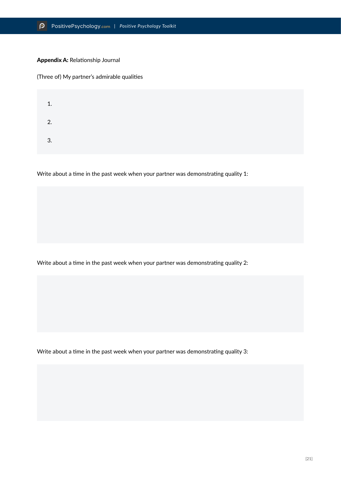#### Appendix A: Relationship Journal

(Three of) My partner's admirable qualities

| 1. |  |  |
|----|--|--|
| 2. |  |  |
| 3. |  |  |

Write about a time in the past week when your partner was demonstrating quality 1:

Write about a time in the past week when your partner was demonstrating quality 2:

Write about a time in the past week when your partner was demonstrating quality 3: